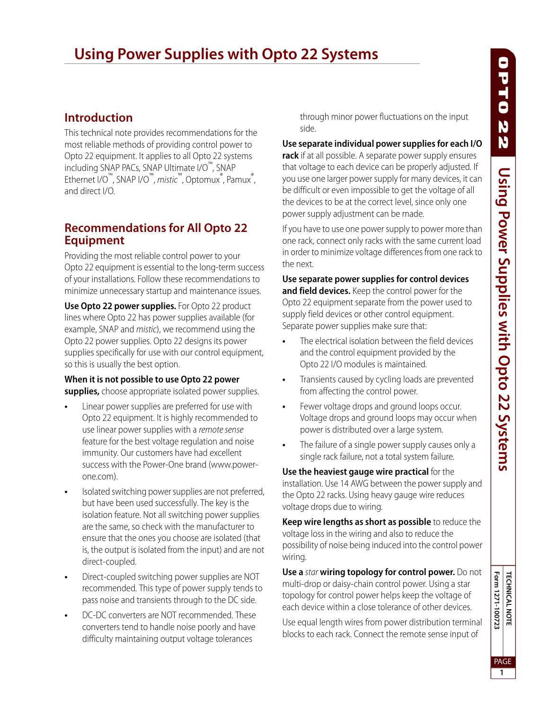# **Using Power Supplies with Opto 22 Systems**

## **Introduction**

This technical note provides recommendations for the most reliable methods of providing control power to Opto 22 equipment. It applies to all Opto 22 systems including SNAP PACs, SNAP Ultimate I/O™, SNAP Ethernet I/O™, SNAP I/O™, *mistic*™, Optomux®, Pamux®,<br>and direct I/O and direct I/O.

## **Recommendations for All Opto 22 Equipment**

Providing the most reliable control power to your Opto 22 equipment is essential to the long-term success of your installations. Follow these recommendations to minimize unnecessary startup and maintenance issues.

**Use Opto 22 power supplies.** For Opto 22 product lines where Opto 22 has power supplies available (for example, SNAP and mistic), we recommend using the Opto 22 power supplies. Opto 22 designs its power supplies specifically for use with our control equipment, so this is usually the best option.

#### **When it is not possible to use Opto 22 power supplies,** choose appropriate isolated power supplies.

- **•** Linear power supplies are preferred for use with Opto 22 equipment. It is highly recommended to use linear power supplies with a remote sense feature for the best voltage regulation and noise immunity. Our customers have had excellent success with the Power-One brand (www.powerone.com).
- **•** Isolated switching power supplies are not preferred, but have been used successfully. The key is the isolation feature. Not all switching power supplies are the same, so check with the manufacturer to ensure that the ones you choose are isolated (that is, the output is isolated from the input) and are not direct-coupled.
- **•** Direct-coupled switching power supplies are NOT recommended. This type of power supply tends to pass noise and transients through to the DC side.
- **•** DC-DC converters are NOT recommended. These converters tend to handle noise poorly and have difficulty maintaining output voltage tolerances

through minor power fluctuations on the input side.

**Use separate individual power supplies for each I/O** 

**rack** if at all possible. A separate power supply ensures that voltage to each device can be properly adjusted. If you use one larger power supply for many devices, it can be difficult or even impossible to get the voltage of all the devices to be at the correct level, since only one power supply adjustment can be made.

If you have to use one power supply to power more than one rack, connect only racks with the same current load in order to minimize voltage differences from one rack to the next.

**Use separate power supplies for control devices and field devices.** Keep the control power for the Opto 22 equipment separate from the power used to supply field devices or other control equipment. Separate power supplies make sure that:

- **•** The electrical isolation between the field devices and the control equipment provided by the Opto 22 I/O modules is maintained.
- **•** Transients caused by cycling loads are prevented from affecting the control power.
- **•** Fewer voltage drops and ground loops occur. Voltage drops and ground loops may occur when power is distributed over a large system.
- **•** The failure of a single power supply causes only a single rack failure, not a total system failure.

**Use the heaviest gauge wire practical** for the installation. Use 14 AWG between the power supply and the Opto 22 racks. Using heavy gauge wire reduces voltage drops due to wiring.

**Keep wire lengths as short as possible** to reduce the voltage loss in the wiring and also to reduce the possibility of noise being induced into the control power wiring.

**Use a** star **wiring topology for control power.** Do not multi-drop or daisy-chain control power. Using a star topology for control power helps keep the voltage of each device within a close tolerance of other devices.

Use equal length wires from power distribution terminal blocks to each rack. Connect the remote sense input of

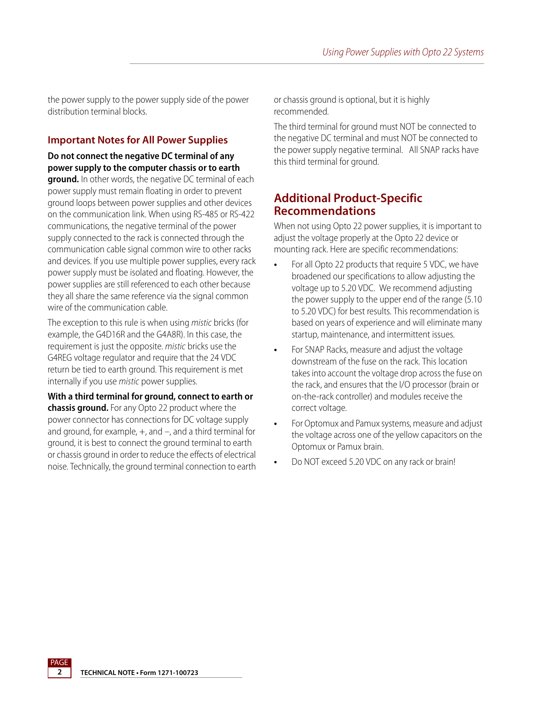the power supply to the power supply side of the power distribution terminal blocks.

#### **Important Notes for All Power Supplies**

**Do not connect the negative DC terminal of any power supply to the computer chassis or to earth ground.** In other words, the negative DC terminal of each power supply must remain floating in order to prevent ground loops between power supplies and other devices on the communication link. When using RS-485 or RS-422 communications, the negative terminal of the power supply connected to the rack is connected through the communication cable signal common wire to other racks and devices. If you use multiple power supplies, every rack power supply must be isolated and floating. However, the power supplies are still referenced to each other because they all share the same reference via the signal common wire of the communication cable.

The exception to this rule is when using mistic bricks (for example, the G4D16R and the G4A8R). In this case, the requirement is just the opposite. mistic bricks use the G4REG voltage regulator and require that the 24 VDC return be tied to earth ground. This requirement is met internally if you use mistic power supplies.

**With a third terminal for ground, connect to earth or chassis ground.** For any Opto 22 product where the power connector has connections for DC voltage supply and ground, for example,  $+$ , and  $-$ , and a third terminal for ground, it is best to connect the ground terminal to earth or chassis ground in order to reduce the effects of electrical noise. Technically, the ground terminal connection to earth or chassis ground is optional, but it is highly recommended.

The third terminal for ground must NOT be connected to the negative DC terminal and must NOT be connected to the power supply negative terminal. All SNAP racks have this third terminal for ground.

### **Additional Product-Specific Recommendations**

When not using Opto 22 power supplies, it is important to adjust the voltage properly at the Opto 22 device or mounting rack. Here are specific recommendations:

- **•** For all Opto 22 products that require 5 VDC, we have broadened our specifications to allow adjusting the voltage up to 5.20 VDC. We recommend adjusting the power supply to the upper end of the range (5.10 to 5.20 VDC) for best results. This recommendation is based on years of experience and will eliminate many startup, maintenance, and intermittent issues.
- **•** For SNAP Racks, measure and adjust the voltage downstream of the fuse on the rack. This location takes into account the voltage drop across the fuse on the rack, and ensures that the I/O processor (brain or on-the-rack controller) and modules receive the correct voltage.
- **•** For Optomux and Pamux systems, measure and adjust the voltage across one of the yellow capacitors on the Optomux or Pamux brain.
- **•** Do NOT exceed 5.20 VDC on any rack or brain!

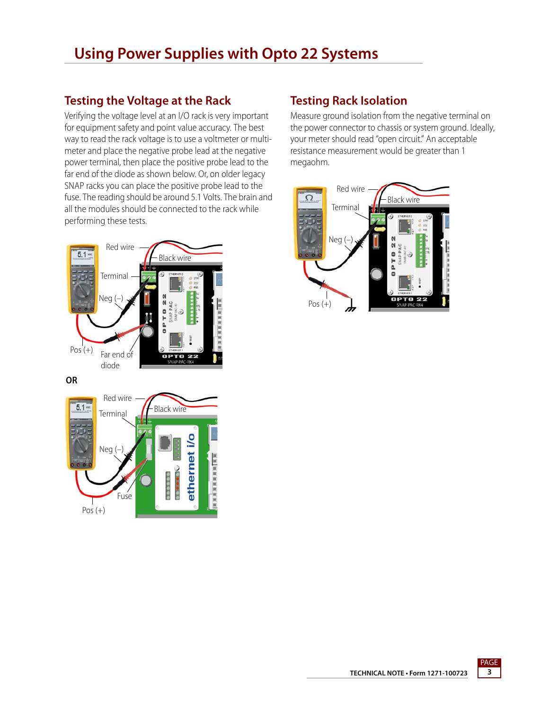# **Using Power Supplies with Opto 22 Systems**

# **Testing the Voltage at the Rack**

Verifying the voltage level at an I/O rack is very important for equipment safety and point value accuracy. The best way to read the rack voltage is to use a voltmeter or multimeter and place the negative probe lead at the negative power terminal, then place the positive probe lead to the far end of the diode as shown below. Or, on older legacy SNAP racks you can place the positive probe lead to the fuse. The reading should be around 5.1 Volts. The brain and all the modules should be connected to the rack while performing these tests.



**OR**



## **Testing Rack Isolation**

Measure ground isolation from the negative terminal on the power connector to chassis or system ground. Ideally, your meter should read "open circuit." An acceptable resistance measurement would be greater than 1 megaohm.



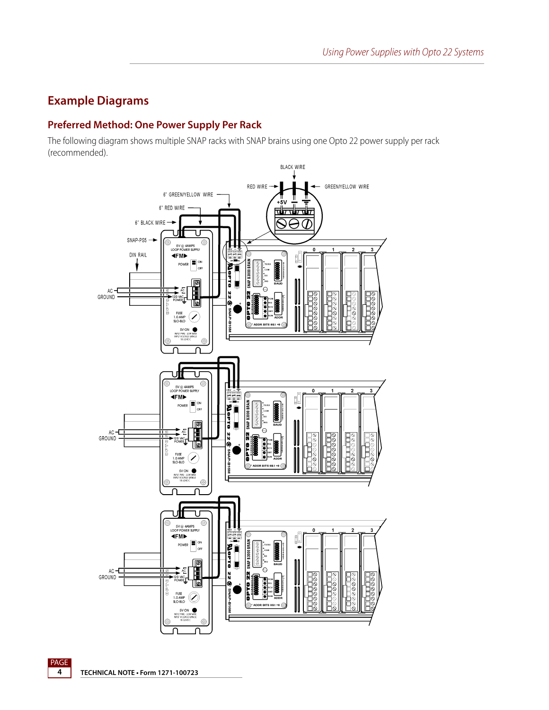## **Example Diagrams**

### **Preferred Method: One Power Supply Per Rack**

The following diagram shows multiple SNAP racks with SNAP brains using one Opto 22 power supply per rack (recommended).



PAGE